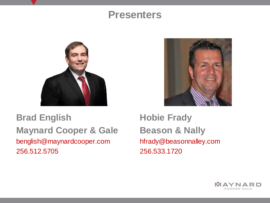#### **Presenters**



#### **Brad English Maynard Cooper & Gale** benglish@maynardcooper.com 256.512.5705



**Hobie Frady Beason & Nally** hfrady@beasonnalley.com 256.533.1720

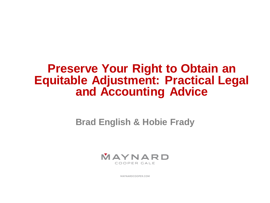# **Preserve Your Right to Obtain an Equitable Adjustment: Practical Legal and Accounting Advice**

**Brad English & Hobie Frady**



MAYNARDCOOPER.COM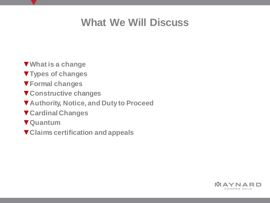# **What We Will Discuss**

- ▼**What is a change**
- ▼**Types of changes**
- ▼**Formal changes**
- ▼**Constructive changes**
- ▼**Authority, Notice, and Duty to Proceed**
- ▼**Cardinal Changes**
- ▼**Quantum**
- ▼**Claims certification and appeals**

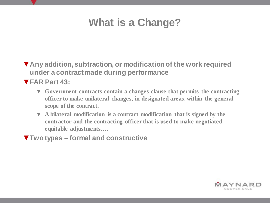# **What is a Change?**

▼**Any addition, subtraction, or modification of the work required under a contract made during performance**

▼**FAR Part 43:** 

- ▼ **Government contracts contain a changes clause that permits the contracting officer to make unilateral changes, in designated areas, within the general scope of the contract.**
- ▼ **A bilateral modification is a contract modification that is signed by the contractor and the contracting officer that is used to make negotiated equitable adjustments….**
- ▼**Two types – formal and constructive**

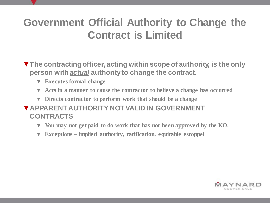# **Government Official Authority to Change the Contract is Limited**

- ▼**The contracting officer, acting within scope of authority, is the only person with** *actual* **authority to change the contract.**
	- ▼ **Executes formal change**
	- **Acts in a manner to cause the contractor to believe a change has occurred**
	- ▼ **Directs contractor to perform work that should be a change**
- ▼**APPARENT AUTHORITY NOT VALID IN GOVERNMENT CONTRACTS**
	- You may not get paid to do work that has not been approved by the KO.
	- **Exceptions implied authority, ratification, equitable estoppel**

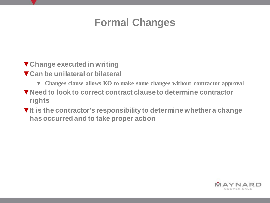### **Formal Changes**

- ▼**Change executed in writing**
- ▼**Can be unilateral or bilateral**
	- ▼ **Changes clause allows KO to make some changes without contractor approval**
- ▼**Need to look to correct contract clause to determine contractor rights**
- ▼**It is the contractor's responsibility to determine whether a change has occurred and to take proper action**

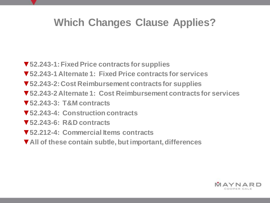## **Which Changes Clause Applies?**

- ▼**52.243-1: Fixed Price contracts for supplies**
- ▼**52.243-1 Alternate 1: Fixed Price contracts for services**
- ▼**52.243-2: Cost Reimbursement contracts for supplies**
- ▼**52.243-2 Alternate 1: Cost Reimbursement contracts for services**
- ▼**52.243-3: T&M contracts**
- ▼**52.243-4: Construction contracts**
- ▼**52.243-6: R&D contracts**
- ▼**52.212-4: Commercial Items contracts**
- ▼**All of these contain subtle, but important, differences**

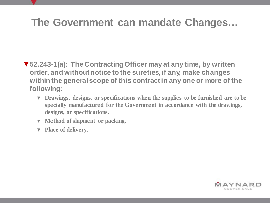#### **The Government can mandate Changes…**

- ▼**52.243-1(a): The Contracting Officer may at any time, by written order, and without notice to the sureties, if any, make changes within the general scope of this contract in any one or more of the following:**
	- ▼ **Drawings, designs, or specifications when the supplies to be furnished are to be specially manufactured for the Government in accordance with the drawings, designs, or specifications.**
	- ▼ **Method of shipment or packing.**
	- ▼ **Place of delivery.**

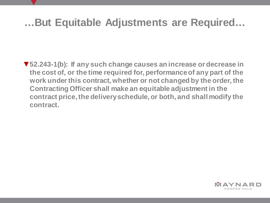### **…But Equitable Adjustments are Required…**

▼**52.243-1(b): If any such change causes an increase or decrease in the cost of, or the time required for, performance of any part of the work under this contract, whether or not changed by the order, the Contracting Officer shall make an equitable adjustment in the contract price, the delivery schedule, or both, and shall modify the contract.**

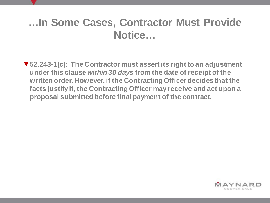### **…In Some Cases, Contractor Must Provide Notice…**

▼**52.243-1(c): The Contractor must assert its right to an adjustment under this clause** *within 30 days* **from the date of receipt of the written order. However, if the Contracting Officer decides that the facts justify it, the Contracting Officer may receive and act upon a proposal submitted before final payment of the contract.**

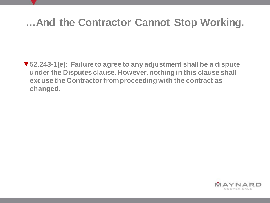### **…And the Contractor Cannot Stop Working.**

▼**52.243-1(e): Failure to agree to any adjustment shall be a dispute under the Disputes clause. However, nothing in this clause shall excuse the Contractor from proceeding with the contract as changed.**

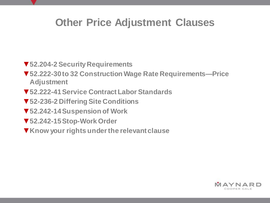### **Other Price Adjustment Clauses**

- ▼**52.204-2 Security Requirements**
- ▼**52.222-30 to 32 Construction Wage Rate Requirements—Price Adjustment**
- ▼**52.222-41 Service Contract Labor Standards**
- ▼**52-236-2 Differing Site Conditions**
- ▼**52.242-14 Suspension of Work**
- ▼**52.242-15 Stop-Work Order**
- ▼**Know your rights under the relevant clause**

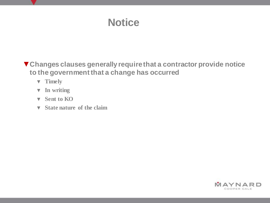# **Notice**

▼**Changes clauses generally require that a contractor provide notice to the government that a change has occurred**

- ▼ **Timely**
- ▼ **In writing**
- ▼ **Sent to KO**
- ▼ **State nature of the claim**

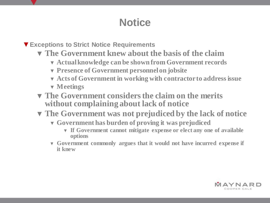# **Notice**

▼**Exceptions to Strict Notice Requirements**

- ▼ **The Government knew about the basis of the claim**
	- ▼ **Actual knowledge can be shown from Government records**
	- ▼ **Presence of Government personnel on jobsite**
	- ▼ **Acts of Government in working with contractor to address issue**
	- ▼ **Meetings**
- ▼ **The Government considers the claim on the merits without complaining about lack of notice**
- ▼ **The Government was not prejudiced by the lack of notice**
	- ▼ **Government has burden of proving it was prejudiced**
		- ▼ **If Government cannot mitigate expense or elect any one of available options**
	- ▼ **Government commonly argues that it would not have incurred expense if it knew**

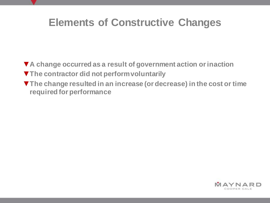#### **Elements of Constructive Changes**

- ▼**A change occurred as a result of government action or inaction**
- ▼**The contractor did not perform voluntarily**
- ▼**The change resulted in an increase (or decrease) in the cost or time required for performance**

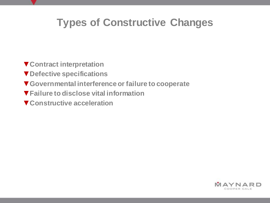# **Types of Constructive Changes**

- ▼**Contract interpretation**
- ▼**Defective specifications**
- ▼**Governmental interference or failure to cooperate**
- ▼**Failure to disclose vital information**
- ▼**Constructive acceleration**

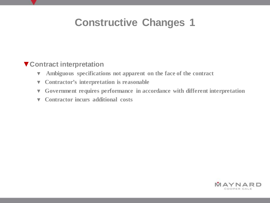#### ▼**Contract interpretation**

- ▼ **Ambiguous specifications not apparent on the face of the contract**
- ▼ **Contractor's interpretation is reasonable**
- ▼ **Government requires performance in accordance with different interpretation**
- ▼ **Contractor incurs additional costs**

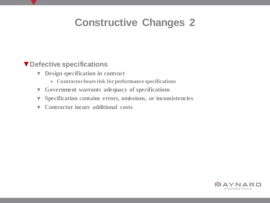#### ▼**Defective specifications**

- ▼ **Design specification in contract**
	- ▼ **Contractor bears risk for performance specifications**
- ▼ **Government warrants adequacy of specifications**
- ▼ **Specification contains errors, omissions, or inconsistencies**
- ▼ **Contractor incurs additional costs**

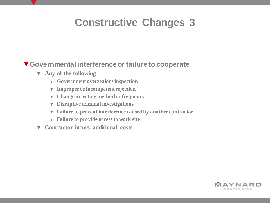#### ▼**Governmental interference or failure to cooperate**

- ▼ **Any of the following**
	- ▼ **Government overzealous inspection**
	- ▼ **Improper or incompetent rejection**
	- ▼ **Change in testing method or frequency**
	- ▼ **Disruptive criminal investigations**
	- ▼ **Failure to prevent interference caused by another contractor**
	- ▼ **Failure to provide access to work site**
- ▼ **Contractor incurs additional costs**

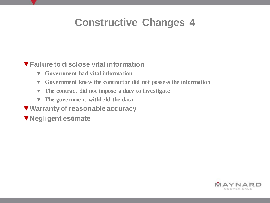#### ▼**Failure to disclose vital information**

- ▼ **Government had vital information**
- ▼ **Government knew the contractor did not possess the information**
- ▼ **The contract did not impose a duty to investigate**
- ▼ **The government withheld the data**
- ▼**Warranty of reasonable accuracy**
- ▼**Negligent estimate**

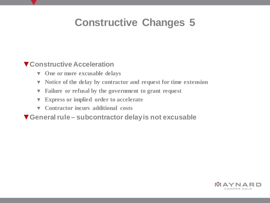#### ▼**Constructive Acceleration**

- ▼ **One or more excusable delays**
- ▼ **Notice of the delay by contractor and request for time extension**
- ▼ **Failure or refusal by the government to grant request**
- ▼ **Express or implied order to accelerate**
- ▼ **Contractor incurs additional costs**

▼**General rule – subcontractor delay is not excusable**

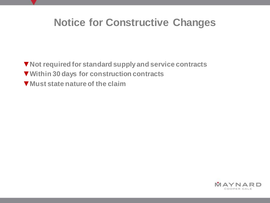### **Notice for Constructive Changes**

▼**Not required for standard supply and service contracts** ▼**Within 30 days for construction contracts** ▼**Must state nature of the claim**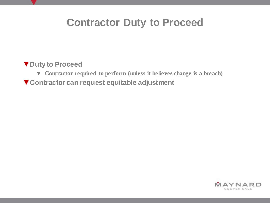#### **Contractor Duty to Proceed**

#### ▼**Duty to Proceed**

- ▼ **Contractor required to perform (unless it believes change is a breach)**
- ▼**Contractor can request equitable adjustment**

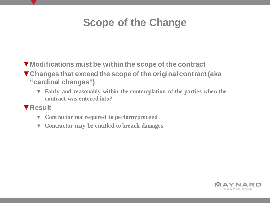# **Scope of the Change**

- ▼**Modifications must be within the scope of the contract**
- ▼**Changes that exceed the scope of the original contract (aka "cardinal changes")**
	- ▼ **Fairly and reasonably within the contemplation of the parties when the contract was entered into?**
- ▼**Result**
	- ▼ **Contractor not required to perform/proceed**
	- ▼ **Contractor may be entitled to breach damages**

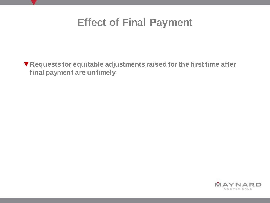

▼**Requests for equitable adjustments raised for the first time after final payment are untimely**

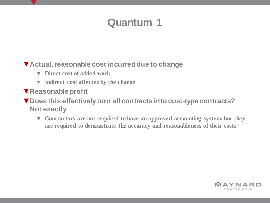#### ▼**Actual, reasonable cost incurred due to change**

- ▼ **Direct cost of added work**
- ▼ **Indirect cost affected by the change**
- ▼**Reasonable profit**
- ▼**Does this effectively turn all contracts into cost-type contracts? Not exactly**
	- ▼ **Contractors are not required to have an approved accounting system, but they are required to demonstrate the accuracy and reasonableness of their costs**

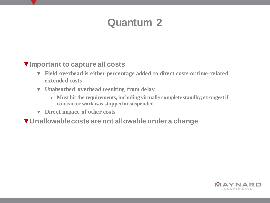#### ▼**Important to capture all costs**

- ▼ **Field overhead is either percentage added to direct costs or time-related extended costs**
- ▼ **Unabsorbed overhead resulting from delay**
	- ▼ **Must hit the requirements, including virtually complete standby; strongest if contractor work was stopped or suspended**
- ▼ **Direct impact of other costs**
- ▼**Unallowable costs are not allowable under a change**

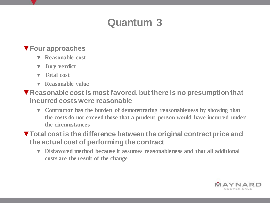#### ▼**Four approaches**

- ▼ **Reasonable cost**
- **Jury verdict**
- ▼ **Total cost**
- **Reasonable value**
- ▼**Reasonable cost is most favored, but there is no presumption that incurred costs were reasonable**
	- ▼ **Contractor has the burden of demonstrating reasonableness by showing that the costs do not exceed those that a prudent person would have incurred under the circumstances**
- ▼**Total cost is the difference between the original contract price and the actual cost of performing the contract**
	- ▼ **Disfavored method because it assumes reasonableness and that all additional costs are the result of the change**

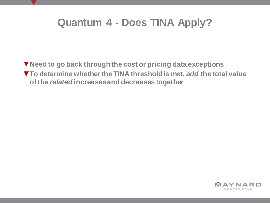### **Quantum 4 - Does TINA Apply?**

▼**Need to go back through the cost or pricing data exceptions** ▼**To determine whether the TINA threshold is met,** *add* **the total value of the** *related* **increases and decreases together** 

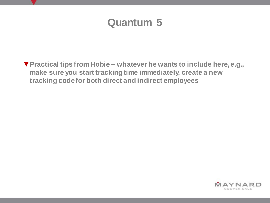▼**Practical tips from Hobie – whatever he wants to include here, e.g., make sure you start tracking time immediately, create a new tracking code for both direct and indirect employees**

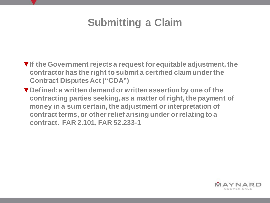# **Submitting a Claim**

- ▼**If the Government rejects a request for equitable adjustment, the contractor has the right to submit a certified claimunder the Contract Disputes Act ("CDA")**
- ▼**Defined: a written demand or written assertion by one of the contracting parties seeking, as a matter of right, the payment of money in a sum certain, the adjustment or interpretation of contract terms, or other relief arising under or relating to a contract. FAR 2.101, FAR 52.233-1**

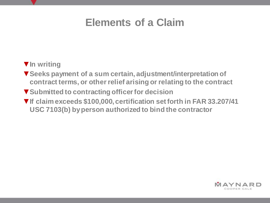#### **Elements of a Claim**

#### ▼**In writing**

- ▼**Seeks payment of a sum certain, adjustment/interpretation of contract terms, or other relief arising or relating to the contract**
- ▼**Submitted to contracting officer for decision**
- ▼**If claim exceeds \$100,000, certification set forth in FAR 33.207/41 USC 7103(b) by person authorized to bind the contractor**

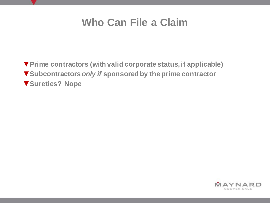#### **Who Can File a Claim**

▼**Prime contractors (with valid corporate status, if applicable)** ▼**Subcontractors** *only if* **sponsored by the prime contractor** ▼**Sureties? Nope**

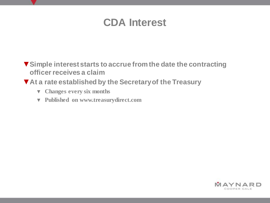#### **CDA Interest**

- ▼**Simple interest starts to accrue from the date the contracting officer receives a claim**
- ▼**At a rate established by the Secretary of the Treasury** 
	- ▼ **Changes every six months**
	- ▼ **Published on www.treasurydirect.com**

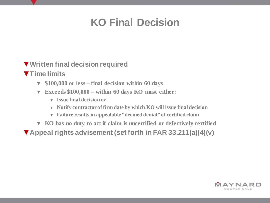# **KO Final Decision**

#### ▼**Written final decision required**

- ▼**Time limits**
	- ▼ **\$100,000 or less – final decision within 60 days**
	- ▼ **Exceeds \$100,000 – within 60 days KO must either:**
		- ▼ **Issue final decision or**
		- ▼ **Notify contractor of firm date by which KO will issue final decision**
		- ▼ **Failure results in appealable "deemed denial" of certified claim**
	- ▼ **KO has no duty to act if claim is uncertified or defectively certified**
- ▼**Appeal rights advisement (set forth in FAR 33.211(a)(4)(v)**